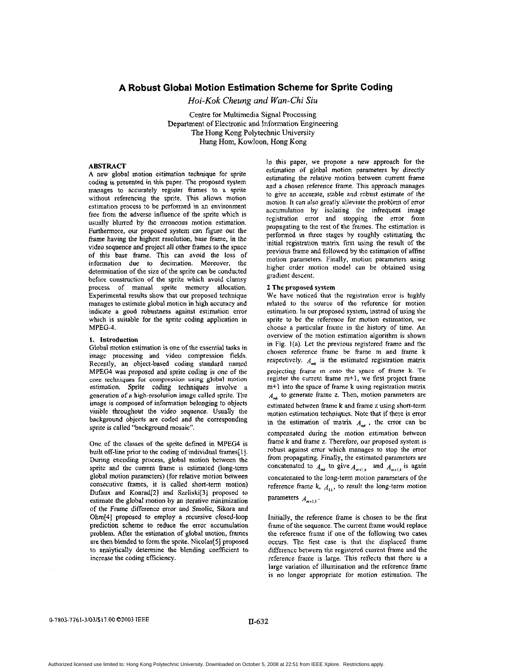# **A Robust Global Motion Estimation Scheme for Sprite Coding**

*Hoi-Kok Cheung and* Wan-Chi Siu

Centre for Multimedia Signal Processing Department of Electronic and Information Engineering The Hong Kong Polytechnic University Hung Hom, Kowloon, **Hong** Kong

### **ABSTRACT**

**A** new global motion estimation technique for sprite coding is presented in this paper. The proposed system manages to accurately register frames to a sprite without referencing the sprite. This allows motion estimation process to be performed in an environment free from the adverse influence **of** the sprite which is usually blurred by the erroneous motion estimation. Furthermore, our proposed system can figure out the frame having the highest resolution, base frame, in the video sequence and project all other frames to the space of this base **frame.** This can avoid the **loss** of information due to decimation. Moreover, the determination of the size of the sprite can be conducted before construction of the sprite which avoid clumsy process of manual sprite memory allocation. Experimental results show that our proposed technique manages to estimate global motion in high accuracy and indicate **a** good robustness against estimation error which **is** suitable **for** the sprite coding application in MPEG-4.

# **1.** Introduction

Global motion estimation is one of the essential tasks in image processing and video compression fields. Recently, an object-based coding standard named MPEG4 was proposed and sprite coding is one of the **core** techniques for compression using global motion estimation. Sprite coding techniques involve a generation **of** a high-resolution image called sprite. The image **is** composed of information belonging to objects visible throughout the video sequence. Usually the background objects are coded and the corresponding sprite is called "background mosaic".

One of the classes of the sprite defined in **MPEG4** is built off-line prior to the coding of individual frames[l]. During encoding process, global motion between the sprite and the current frame is estimated (long-term global motion parameters) (for relative motion between consecutive frames, it is called short-term motion) Dufaux and Konrad<sup>[2]</sup> and Szeliski<sup>[3]</sup> proposed to estimate the global motion by an iterative minimization of the Frame difference error and Smolic, Sikora and Ohm[4] proposed to employ a recursive closed-loop prediction scheme **to** reduce the error accumulation problem. After the estimation of **global** motion, frames are then blended to form the sprite. Nicolas[5] proposed to analytically determine the blending coefficient to increase the coding efficiency.

In this paper, we propose a new approach for the estimation of global motion parameters by directly estimating the relative motion between current frame and a chosen reference frame. This approach manages to give an accurate, stable and robust estimate of the motion. It can also greatly alleviate the problem of error accumulation by isolating the infrequent image registration error and stopping the error from propagating **to** the rest of the frames. The estimation is performed in three stages by roughly estimating the initial registration matrix first using the result of the previous frame and followed by the estimation of affine motion parameters. Finally, motion parameters using higher order motion model can be obtained using gradient descent.

### **2 The** proposed **system**

**We** have noticed that the registration error is highly related to the source *of* the reference for motion estimation. **In** our proposed system, instead **of** using the sprite to be the reference for motion estimation, we choose a particular frame in the history of time. An overview of the motion estimation algorithm is shown in Fig. I(a). Let the previous registered frame and the chosen reference frame be fiame m and frame k respectively.  $A_{mk}$  is the estimated registration matrix projecting frame m **onto the space of frame k. To**  register the current frame  $m+1$ , we first project frame m+1 into the space of frame k using registration matrix *A,* **to** generate frame **z.** Then, motion parameters are estimated between frame k and frame **z** using short-term motion estimation techniques, Note that if there is error in the estimation of matrix  $A_{nk}$ , the error can be compensated during the motion estimation between frame k and frame **z.** Therefore, our proposed system is robust against error which manages to stop the error from propagating. Finally, the estimated parameters **are**  concatenated to  $A_{mk}$  to give  $A_{m+1,k}$  and  $A_{m+1,k}$  is again concatenated to the long-term motion parameters of the reference frame k,  $A_{k1}$ , to result the long-term motion

parameters  $A_{m+1,1}$ .

Initially, the reference fiame is chosen to be the first frame of the sequence. **The** current frame would replace the reference frame if one of the following two cases occurs. The first case is that the displaced frame difference between the registered current frame and the reference frame is large. This reflects that there is **a**  large variation of illumination and the reference frame is **no** longer appropriate for motion estimation. The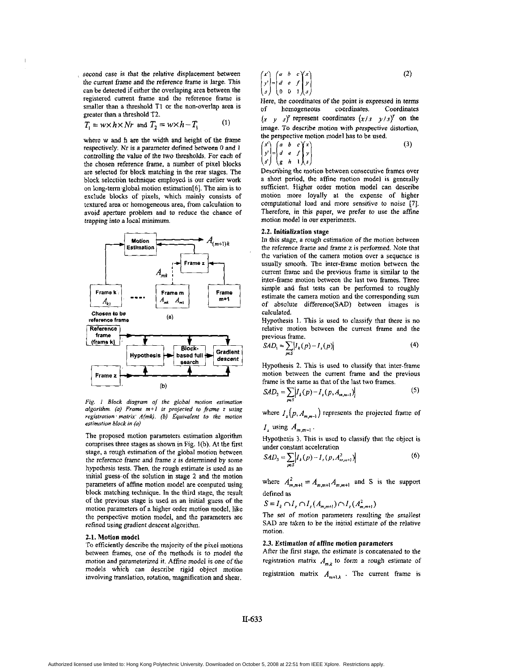second case **is** that the relative displacement between the cunent frame and the reference frame **is** large. This can be detected if either the overlaping area between the registered current frame and the reference frame is smaller than a threshold TI **or** the non-overlap area is greater than a threshold T2.

$$
T_1 = w \times h \times Nr \text{ and } T_2 = w \times h - T_1 \tag{1}
$$

where w and h are the width and height **of** the frame respectively. Nr **is** a parameter defined between 0 and *<sup>1</sup>* controlling the value of the two thresholds. For each of the chosen reference frame, a number of pixel blocks are selected **for** block matching in the rear stages. The block selection technique employed is our earlier work on long-term global motion estimation  $[6]$ . The aim is to exclude blocks of pixels, which mainly consists of textured area or homogeneous area, from calculation to avoid aperture problem and to reduce the chance of trapping into a local minimum.



*Fig. I Block diagram of the global motion estimolion olgorithm.* (a) Frame  $m+1$  is projected to frame 2 using *registration* ' *molrir' A(mk).* (61 *Equivalent lo lhe molion estimolion block in (a)* 

The proposed motion parameters estimation algorithm comprises three stages as shown in Fig.  $1(b)$ . At the first stage, a rough estimation **of** the global motion between the reference frame and frame z is determined by some hypothesis tests. Then, the rough estimate **is** used as an initial guess of the solution in stage 2 and the motion parameters of affine motion model are computed using block matching technique. In the third stage, the result **of** the previous stage is used as an initial guess of the motion parameters of a higher order motion model, like the perspective motion model, and the parameters are retined using gradient descent algorithm.

#### **2.1.** Motion model

To efficiently describe the majority of the pixel motions between frames, one of the methods **is** to model the motion and parameterized it. Affine model is one of the models which can describe rigid object motion involving translation, rotation, magnification and shear.

$$
\begin{pmatrix} x' \\ y' \\ s \end{pmatrix} = \begin{pmatrix} a & b & c \\ d & e & f \\ 0 & 0 & 1 \end{pmatrix} \begin{pmatrix} x \\ y \\ s \end{pmatrix}
$$
 (2)

Here, the coordinates of the point **is** expressed in terms of homogeneous coordinates. Coordinates  $(x, y, s)<sup>T</sup>$  represent coordinates  $(x/s, y/s)<sup>T</sup>$  on the image. To describe motion with perspective distortion, the perspective motion model has to be used.

$$
\begin{pmatrix} x' \\ y' \\ s' \end{pmatrix} = \begin{pmatrix} a & b & c \\ d & e & f \\ g & h & 1 \end{pmatrix} \tag{3}
$$

Describing the motion between consecutive frames over a short period, the affine motion model is generally sufficient. Higher order motion model can describe motion more loyally at the expense **of** higher computational load and more sensitive to noise **[7].**  Therefore, in this paper, we prefer to **use** the affine motion model in our experiments.

# **2.2.** Initialization stage

In this stage, a rough estimation *of* the motion between the reference frame and frame *I* is performed. Note that the variation of the camera motion over **a** sequence is usually smooth. The inter-frame motion between the current frame and the previous frame **is** similar to the inter-frame motion between the last two frames. Three simple and fast tests can be performed to roughly estimate the camera motion and the corresponding sum of absolute difference(SAD) between images **is**  calculated.

Hypothesis 1. This is used to classify that there is no relative motion between the current frame and the previous frame.

$$
SAD_1 \approx \sum_{p \in S} |I_k(p) - I_r(p)| \tag{4}
$$

Hypothesis 2. This **is** used to classify that inter-frame motion between the current frame and the previous frame is the same as that of the last two frames.

$$
SAD_2 = \sum_{p \in S} \left| I_k(p) - I_s(p, A_{m,m-1}) \right| \tag{5}
$$

where  $I_z(p, A_{m,m-1})$  represents the projected frame of

$$
I_z
$$
 using  $A_{m,m-1}$ .

Hypothesis **3.** This **is** used **to** classify that the object is under constant acceleration

$$
SAD_3 = \sum_{p \in S} \left| I_x(p) - I_x(p, A_{\infty, m+1}^2) \right| \tag{6}
$$

where  $A_{m,m+1}^2 = A_{m,m+1}A_{m,m+1}$  and S is the support defined **as** 

 $S = I_k \cap I_{\bar{z}} \cap I_{\bar{z}} (A_{m,m+l}) \cap I_{\bar{z}} (A_{m,m+l}^2)$ 

The set of motion parameters resulting the smallest SAD are taken to be the initial estimate of the relative motion.

# **2.3.** Estimation *of* afline motion parameters

After the first stage, the estimate is concatenated to the registration matrix  $A_{m,k}$  to form a rough estimate of registration matrix  $A_{m+1,k}$ . The current frame is

**U-633**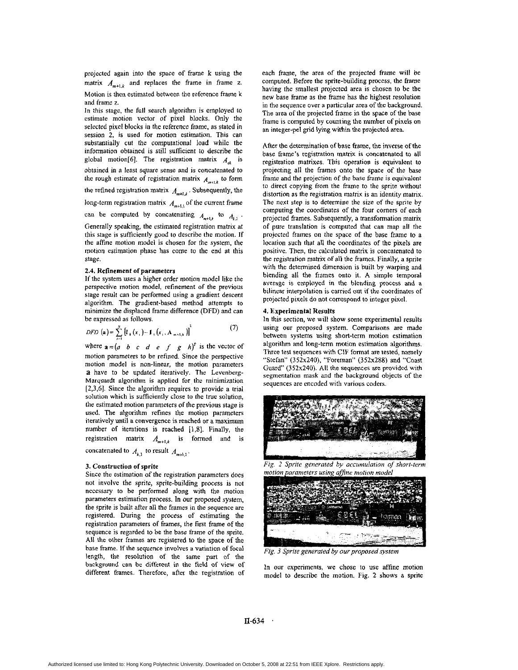<span id="page-2-0"></span>projected again into the space of frame k using the matrix  $A_{m+1,k}$  and replaces the frame in frame z. Motion is then estimated between the reference frame **k** 

and frame z.

In this stage, the full search algorithm **is** employed to estimate motion vector of pixel blocks. Only the selected pixel blocks in the reference frame, as stated in session 2, is used for motion estimation. This can substantially cut the computational load while the information obtained is still sufficient to describe the global motion<sup>[6]</sup>. The registration matrix  $A_{ik}$  is obtained in a least square sense and is concatenated to the rough estimate of registration matrix  $A_{m+1,k}$  to form

the refined registration matrix  $A_{m+l,k}$ . Subsequently, the

long-term registration matrix  $A_{m+1,k}$  of the current frame

can be computed by concatenating  $A_{m+1,k}$  to  $A_{k,1}$ .

Generally speaking, the estimated registration matrix at this stage **is** sufficiently goad to describe the motion. If the affine motion model is chosen for the system, the motion estimation phase has come to the end at this stage.

### **2.4. Refinement of parameters**

If the system uses a higher order motion model like the perspective motion model, refinement of the previous stage result can be performed using **a** gradient descent algorithm. The gradient-based method attempts to minimize the displaced frame difference **(DFD)** and can be expressed **as** follows.

*DFD* (a) = 
$$
\sum_{i=1}^{N} \left[ I_{k}(x_{i}) - I_{n}(x_{i}, A_{m+1,k}) \right]^{2}
$$
 (7)

where  $\mathbf{a} = (a \ b \ c \ d \ e \ f \ g \ h)$ <sup>r</sup> is the vector of motion parameters to **be** refined. Since the perspective motion model **is** non-linear, **the** motion parameters **a** have to be updated iteratively. The Levenberg-Marquardt algorithm is applied for the minimization **[2,3,6j.** Since the algorithm requires to provide a trial solution which is sufficiently close to the true solution, the estimated motion parameters of the previous stage **is**  used. **The** algorithm refines the motion parameters iteratively until **a** convergence **is** reached or a maximum number of iterations is reached [l,S]. Finally, the registration matrix  $A_{m+1,k}$  is formed and is

concatenated to  $A_{k,1}$  to result  $A_{m+1,1}$ .

### **3.** Construction **of** sprite

Since the estimation of the registration parameters does not involve the sprite, sprite-building process **is** not necessary to be performed along with the motion parameters estimation process. In our proposed system, the sprite is built after all the frames in the sequence **are**  registered. During the process of estimating the registration parameters **of** frames, the first frame of the sequence is regarded to be the base frame of the sprite. **All** the other frames are registered to the space of the base frame. If the sequence involves **a** variation of focal length, the resolution of the same part of the background **can** be different in the **Reld** of view of different frames. Therefore, after the registration of each frame, the area of the projected frame will be computed. Before the sprite-building process, the **frame**  having the smallest projected area **is** chosen to be the new base frame as the frame has the highest resolution in the sequence over a particular area of the background. The area of the projected frame in the space of the base frame is computed by counting the number of pixels on an integer-pel grid lying within the projected area.

After the determination of base frame, the inverse of the base frame's registration matrix **is** concatenated to all registration matrixes. This operation **is** equivalent to projecting all the frames onto the space of the base frame and the projection of the base frame is equivalent to direct copying from the frame to the sprite without distortion as the registration matrix is an identity matrix. The next step is to determine the **size** of the sprite by computing the coordinates of the four comers of each projected frames. Subsequently, a transformation matrix of pure translation **is** computed that can map all the projected frames on the space of the base frame to a location such that all the coordinates of the pixels are positive. Then, the calculated matrix is concatenated to the registration matrix of all the frames. Finally, **a** sprite with the determined dimension is built by warping and blending **all** the frames **onto** it. A simple temporal average is employed in the blending process and a bilinear interpolation is carried out if the coordinates of projected pixels do not correspond to integer pixel.

# **4.** Experimental Results

In this section, we will show some experimental results using our proposed system. Comparisons are made between systems using short-term motion estimation algorithm and long-term motion estimation algorithms. Three test sequences with CIF format are tested, namely "Stefan" (352x240), "Foreman" (352x288) and "Coast Guard" (352x240). All the sequences are provided with segmentation mask and the background objects of the sequences are encoded with various coders.





*Fig.* 3 *Sprire generaled by ourproposed system* 

In our experiments. we chose **to** use affine motion model to describe the motion. Fig. **2** shows a sprite

**U-634**